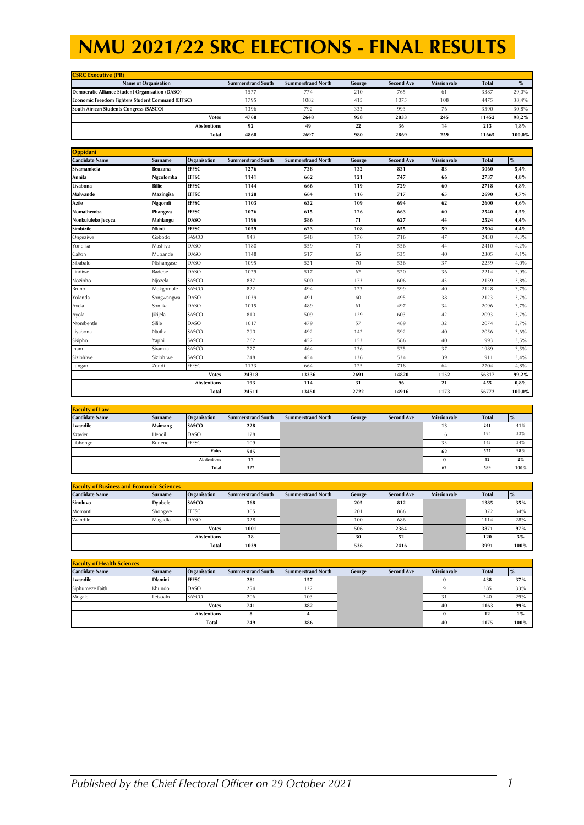| <b>CSRC Executive (PR)</b>                               |                           |                           |        |                   |                    |              |        |  |  |  |
|----------------------------------------------------------|---------------------------|---------------------------|--------|-------------------|--------------------|--------------|--------|--|--|--|
| Name of Organisation                                     | <b>Summerstrand South</b> | <b>Summerstrand North</b> | George | <b>Second Ave</b> | <b>Missionvale</b> | <b>Total</b> |        |  |  |  |
| Democratic Alliance Student Organisation (DASO)          | 1577                      | 774                       | 210    | 765               | 61                 | 3387         | 29.0%  |  |  |  |
| <b>Economic Freedom Fighters Student Command (EFFSC)</b> | 1795                      | 1082                      | 415    | 1075              | 108                | 4475         | 38.4%  |  |  |  |
| South African Students Congress (SASCO)                  | 1396                      | 792                       | 333    | 993               | 76                 | 3590         | 30.8%  |  |  |  |
| <b>Votes</b>                                             | 4768                      | 2648                      | 958    | 2833              | 245                | 11452        | 98.2%  |  |  |  |
| <b>Abstentions</b>                                       | 92                        | 49                        | 22     | 36                | 14                 | 213          | 1,8%   |  |  |  |
| <b>Total</b>                                             | 4860                      | 2697                      | 980    | 2869              | 259                | 11665        | 100.0% |  |  |  |

| Oppidani              |                |              |                           |                           |        |                   |                    |              |        |
|-----------------------|----------------|--------------|---------------------------|---------------------------|--------|-------------------|--------------------|--------------|--------|
| <b>Candidate Name</b> | <b>Surname</b> | Organisation | <b>Summerstrand South</b> | <b>Summerstrand North</b> | George | <b>Second Ave</b> | <b>Missionvale</b> | <b>Total</b> | $\%$   |
| Siyamamkela           | <b>Beuzana</b> | <b>EFFSC</b> | 1276                      | 738                       | 132    | 831               | 83                 | 3060         | 5,4%   |
| Annita                | Ngcolomba      | <b>EFFSC</b> | 1141                      | 662                       | 121    | 747               | 66                 | 2737         | 4,8%   |
| Livabona              | <b>Billie</b>  | <b>EFFSC</b> | 1144                      | 666                       | 119    | 729               | 60                 | 2718         | 4,8%   |
| <b>Malwande</b>       | Mazingisa      | <b>EFFSC</b> | 1128                      | 664                       | 116    | 717               | 65                 | 2690         | 4,7%   |
| Azile                 | Ngqondi        | <b>EFFSC</b> | 1103                      | 632                       | 109    | 694               | 62                 | 2600         | 4,6%   |
| Nomathemba            | Phangwa        | <b>EFFSC</b> | 1076                      | 615                       | 126    | 663               | 60                 | 2540         | 4,5%   |
| Nonkululeko Jecyca    | Mahlangu       | <b>DASO</b>  | 1196                      | 586                       | 71     | 627               | 44                 | 2524         | 4,4%   |
| Simbizile             | Nkinti         | <b>EFFSC</b> | 1059                      | 623                       | 108    | 655               | 59                 | 2504         | 4,4%   |
| Ongeziwe              | Gobodo         | SASCO        | 943                       | 548                       | 176    | 716               | 47                 | 2430         | 4,3%   |
| Yonelisa              | Mashiya        | <b>DASO</b>  | 1180                      | 559                       | 71     | 556               | 44                 | 2410         | 4,2%   |
| Calton                | Mupande        | <b>DASO</b>  | 1148                      | 517                       | 65     | 535               | 40                 | 2305         | 4,1%   |
| Sibabalo              | Ntshangase     | DASO         | 1095                      | 521                       | 70     | 536               | 37                 | 2259         | 4,0%   |
| Lindiwe               | Radebe         | <b>DASO</b>  | 1079                      | 517                       | 62     | 520               | 36                 | 2214         | 3,9%   |
| Nozipho               | Njozela        | SASCO        | 837                       | 500                       | 173    | 606               | 43                 | 2159         | 3,8%   |
| Bruno                 | Mokgomule      | SASCO        | 822                       | 494                       | 173    | 599               | 40                 | 2128         | 3,7%   |
| Yolanda               | Songwangwa     | <b>DASO</b>  | 1039                      | 491                       | 60     | 495               | 38                 | 2123         | 3,7%   |
| Avela                 | Sonjika        | <b>DASO</b>  | 1015                      | 489                       | 61     | 497               | 34                 | 2096         | 3,7%   |
| Ayola                 | Jikijela       | SASCO        | 810                       | 509                       | 129    | 603               | 42                 | 2093         | 3,7%   |
| Ntombentle            | Sifile         | <b>DASO</b>  | 1017                      | 479                       | 57     | 489               | 32                 | 2074         | 3,7%   |
| Liyabona              | Ntutha         | SASCO        | 790                       | 492                       | 142    | 592               | 40                 | 2056         | 3,6%   |
| Sisipho               | Yaphi          | SASCO        | 762                       | 452                       | 153    | 586               | 40                 | 1993         | 3,5%   |
| Inam                  | Siramza        | SASCO        | 777                       | 464                       | 136    | 575               | 37                 | 1989         | 3,5%   |
| Siziphiwe             | Siziphiwe      | SASCO        | 748                       | 454                       | 136    | 534               | 39                 | 1911         | 3,4%   |
| Lungani               | Zondi          | <b>EFFSC</b> | 1133                      | 664                       | 125    | 718               | 64                 | 2704         | 4,8%   |
|                       | <b>Votes</b>   |              |                           | 13336                     | 2691   | 14820             | 1152               | 56317        | 99,2%  |
| Abstentions           |                | 193          | 114                       | 31                        | 96     | 21                | 455                | $0.8\%$      |        |
| <b>Total</b>          |                |              | 24511                     | 13450                     | 2722   | 14916             | 1173               | 56772        | 100,0% |

| <b>Faculty of Law</b> |                |                    |                           |                           |        |                   |                    |              |      |
|-----------------------|----------------|--------------------|---------------------------|---------------------------|--------|-------------------|--------------------|--------------|------|
| <b>Candidate Name</b> | <b>Surname</b> | Organisation       | <b>Summerstrand South</b> | <b>Summerstrand North</b> | George | <b>Second Ave</b> | <b>Missionvale</b> | <b>Total</b> |      |
| Lwandile              | Msimang        | SASCO              | 228                       |                           |        |                   | 13                 | 241          | 41%  |
| Xzavier               | Hencil         | DASO               | 178                       |                           |        |                   | 16                 | 194          | 33%  |
| Libhongo              | Kunene         | <b>EFFSC</b>       | 109                       |                           |        |                   | 33                 | 142          | 24%  |
|                       |                | <b>Votes</b>       | 515                       |                           |        |                   | 62                 | 577          | 98%  |
|                       |                | <b>Abstentions</b> | 12                        |                           |        |                   |                    | 12           | 2%   |
|                       |                | Total              | 527                       |                           |        |                   | 62                 | 589          | 100% |

| <b>Faculty of Business and Economic Sciences</b> |                 |                    |                           |                           |        |                   |                    |              |      |
|--------------------------------------------------|-----------------|--------------------|---------------------------|---------------------------|--------|-------------------|--------------------|--------------|------|
| <b>Candidate Name</b>                            | <b>Surname</b>  | Organisation       | <b>Summerstrand South</b> | <b>Summerstrand North</b> | George | <b>Second Ave</b> | <b>Missionvale</b> | <b>Total</b> |      |
| Sinoluvo                                         | <b>D</b> vubele | <b>SASCO</b>       | 368                       |                           | 205    | 812               |                    | 1385         | 35%  |
| Momanti                                          | Shongwe         | <b>EFFSC</b>       | 305                       |                           | 201    | 866               |                    | 1372         | 34%  |
| Wandile                                          | Magadla         | <b>DASO</b>        | 328                       |                           | 100    | 686               |                    | 1114         | 28%  |
|                                                  |                 | <b>Votes</b>       | 1001                      |                           | 506    | 2364              |                    | 3871         | 97%  |
|                                                  |                 | <b>Abstentions</b> | 38                        |                           | 30     | 52                |                    | 120          | 3%   |
|                                                  |                 | <b>Total</b>       | 1039                      |                           | 536    | 2416              |                    | 3991         | 100% |

| <b>Faculty of Health Sciences</b> |                |                    |                           |                           |        |                   |                    |              |       |
|-----------------------------------|----------------|--------------------|---------------------------|---------------------------|--------|-------------------|--------------------|--------------|-------|
| <b>Candidate Name</b>             | Surname        | Organisation       | <b>Summerstrand South</b> | <b>Summerstrand North</b> | George | <b>Second Ave</b> | <b>Missionvale</b> | <b>Total</b> |       |
| Lwandile                          | <b>Dlamini</b> | <b>EFFSC</b>       | 281                       | 157                       |        |                   |                    | 438          | 37%   |
| Siphumeze Faith                   | Khundo         | <b>DASO</b>        | 254                       | 122                       |        |                   |                    | 385          | 33%   |
| Mogale                            | Letsoalo       | SASCO              | 206                       | 103                       |        |                   |                    | 340          | 29%   |
|                                   |                | <b>Votes</b>       | 741                       | 382                       |        |                   | 40                 | 1163         | 99%   |
|                                   |                | <b>Abstentions</b> | $\mathbf{r}$              |                           |        |                   |                    | 12           | $1\%$ |
|                                   |                | <b>Total</b>       | 749                       | 386                       |        |                   | 40                 | 1175         | 100%  |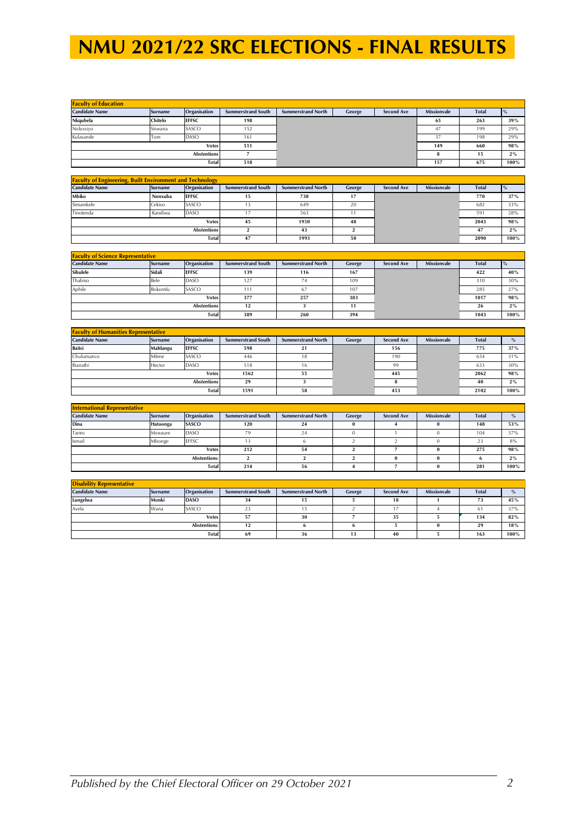| <b>Faculty of Education</b> |                |                    |                           |                           |        |                   |                    |              |       |
|-----------------------------|----------------|--------------------|---------------------------|---------------------------|--------|-------------------|--------------------|--------------|-------|
| <b>Candidate Name</b>       | <b>Surname</b> | Organisation       | <b>Summerstrand South</b> | <b>Summerstrand North</b> | George | <b>Second Ave</b> | <b>Missionvale</b> | <b>Total</b> |       |
| Nkqubela                    | Chitelo        | <b>EFFSC</b>       | 198                       |                           |        |                   | 65                 | 263          | 39%   |
| Noluvuvo                    | Siswana        | SASCO              | 152                       |                           |        |                   | 47                 | 199          | 29%   |
| Kulasande                   | Tom            | DASO               | 161                       |                           |        |                   |                    | 198          | 29%   |
|                             |                | <b>Votes</b>       | 511                       |                           |        |                   | 149                | 660          | 98%   |
|                             |                | <b>Abstentions</b> |                           |                           |        |                   |                    | 15           | $2\%$ |
|                             |                | <b>Total</b>       | 518                       |                           |        |                   | 157                | 675          | 100%  |

| <b>Faculty of Engineering, Built Environment and Technology</b> |                |                    |                           |                           |        |                   |                    |              |         |
|-----------------------------------------------------------------|----------------|--------------------|---------------------------|---------------------------|--------|-------------------|--------------------|--------------|---------|
| <b>Candidate Name</b>                                           | <b>Surname</b> | Organisation       | <b>Summerstrand South</b> | <b>Summerstrand North</b> | George | <b>Second Ave</b> | <b>Missionvale</b> | <b>Total</b> |         |
| Mbiko                                                           | Nonxuba        | <b>EFFSC</b>       |                           | 738                       | 17     |                   |                    | 770          | 37%     |
| Simamkele                                                       | Cekiso         | SASCO              |                           | 649                       | 20     |                   |                    | 682          | 33%     |
| Tinotenda                                                       | Kandiwa        | <b>DASO</b>        |                           | 563                       |        |                   |                    | 591          | 28%     |
|                                                                 |                | <b>Votes</b>       | 45                        | 1950                      | 48     |                   |                    | 2043         | 98%     |
|                                                                 |                | <b>Abstentions</b> |                           | 43                        |        |                   |                    | 47           | 2%      |
| <b>Total</b>                                                    |                |                    | 47                        | 1993                      | 50     |                   |                    | 2090         | $100\%$ |

| <b>Faculty of Science Representative</b> |                |                    |                           |                           |        |                   |                    |              |       |
|------------------------------------------|----------------|--------------------|---------------------------|---------------------------|--------|-------------------|--------------------|--------------|-------|
| <b>Candidate Name</b>                    | <b>Surname</b> | Organisation       | <b>Summerstrand South</b> | <b>Summerstrand North</b> | George | <b>Second Ave</b> | <b>Missionvale</b> | <b>Total</b> |       |
| Sibulele                                 | Sidali         | <b>EFFSC</b>       | 139                       | 116                       | 167    |                   |                    | 422          | 40%   |
| Thabiso                                  | Bele           | DASO               | 127                       | 74                        | 109    |                   |                    | 310          | 30%   |
| Aphile                                   | Bokomfu        | SASCO              | 111                       | 67                        | 107    |                   |                    | 285          | 27%   |
|                                          |                | <b>Votes</b>       | 377                       | 257                       | 383    |                   |                    | 1017         | 98%   |
|                                          |                | <b>Abstentions</b> | 12                        |                           | 11     |                   |                    | 26           | $2\%$ |
|                                          |                | <b>Total</b>       | 389                       | 260                       | 394    |                   |                    | 1043         | 100%  |

| <b>Faculty of Humanities Representative</b> |                |                    |                           |                           |        |                   |                    |              |      |
|---------------------------------------------|----------------|--------------------|---------------------------|---------------------------|--------|-------------------|--------------------|--------------|------|
| <b>Candidate Name</b>                       | <b>Surname</b> | Organisation       | <b>Summerstrand South</b> | <b>Summerstrand North</b> | George | <b>Second Ave</b> | <b>Missionvale</b> | <b>Total</b> | $\%$ |
| <b>Baitsi</b>                               | Mahlangu       | <b>EFFSC</b>       | 598                       | 21                        |        | 156               |                    | 775          | 37%  |
| Chulumanco                                  | Mfene          | SASCO              | 446                       | 18                        |        | 190               |                    | 654          | 31%  |
| Ibanathi                                    | Hector         | DASO               | 518                       | 16                        |        | 99                |                    | 633          | 30%  |
|                                             |                | <b>Votes</b>       | 1562                      | 55                        |        | 445               |                    | 2062         | 98%  |
|                                             |                | <b>Abstentions</b> | 29                        |                           |        |                   |                    | 40           | 2%   |
|                                             |                | Total              | 1591                      | 58                        |        | 453               |                    | 2102         | 100% |

| <b>International Representative</b> |                |                     |                           |                           |        |                   |                    |              |       |
|-------------------------------------|----------------|---------------------|---------------------------|---------------------------|--------|-------------------|--------------------|--------------|-------|
| <b>Candidate Name</b>               | <b>Surname</b> | Organisation        | <b>Summerstrand South</b> | <b>Summerstrand North</b> | George | <b>Second Ave</b> | <b>Missionvale</b> | <b>Total</b> |       |
| Dina                                | Hatoonga       | SASCO               | 120                       | 24                        |        |                   |                    | 148          | 53%   |
| Tariro                              | Mswaure        | DASO                | 79                        | 24                        |        |                   |                    | 104          | 37%   |
| Ismail                              | Mbonge         | <b>EFFSC</b>        |                           |                           |        |                   |                    | 23           | 8%    |
|                                     |                | <b>Votes</b>        | 212                       | 54                        |        |                   |                    | 275          | 98%   |
|                                     |                | <b>Abstentions:</b> |                           |                           |        |                   |                    |              | $2\%$ |
|                                     |                | Total               | 214                       | 56                        |        |                   |                    | 281          | 100%  |

| <b>Disability Representative</b> |         |                     |                           |                           |        |                   |                    |              |      |
|----------------------------------|---------|---------------------|---------------------------|---------------------------|--------|-------------------|--------------------|--------------|------|
| <b>Candidate Name</b>            | Surname | Organisation        | <b>Summerstrand South</b> | <b>Summerstrand North</b> | George | <b>Second Ave</b> | <b>Missionvale</b> | <b>Total</b> | $\%$ |
| Lungelwa                         | Monki   | <b>DASO</b>         | 34                        | 15                        |        | 18                |                    | 73           | 45%  |
| Avela                            | Wana    | SASCO               |                           |                           |        |                   |                    | h            | 37%  |
|                                  |         | <b>Votes</b>        | 57                        | 30                        |        | 35                |                    | 134          | 82%  |
|                                  |         | <b>Abstentions:</b> | 12                        |                           |        |                   |                    | 29           | 18%  |
|                                  |         | Total               | 69                        | 36                        | -1.9   | 40                |                    | 163          | 100% |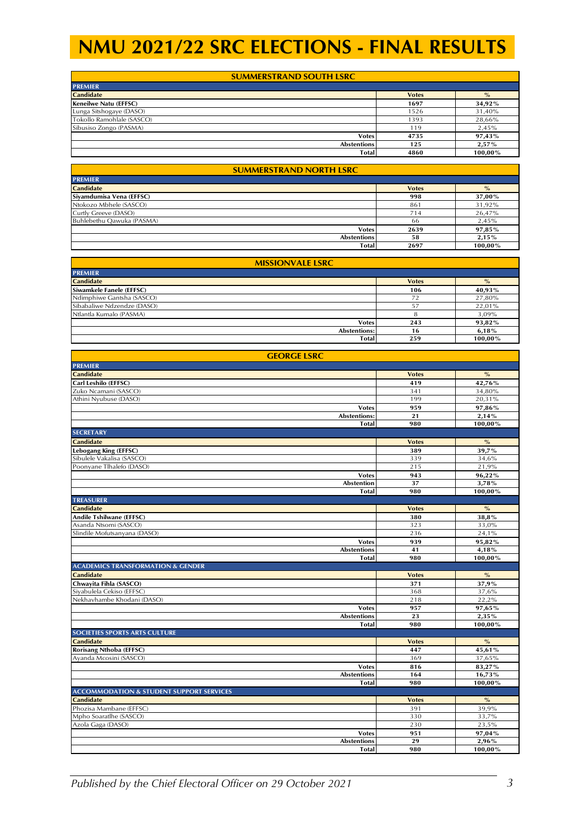| <b>SUMMERSTRAND SOUTH LSRC</b> |              |               |  |  |  |  |  |  |
|--------------------------------|--------------|---------------|--|--|--|--|--|--|
| <b>PREMIER</b>                 |              |               |  |  |  |  |  |  |
| <b>Candidate</b>               | <b>Votes</b> | $\frac{O}{O}$ |  |  |  |  |  |  |
| Keneilwe Natu (EFFSC)          | 1697         | 34,92%        |  |  |  |  |  |  |
| Lunga Sitshogaye (DASO)        | 1526         | 31,40%        |  |  |  |  |  |  |
| Tokollo Ramohlale (SASCO)      | 1393         | 28,66%        |  |  |  |  |  |  |
| Sibusiso Zongo (PASMA)         | 119          | 2,45%         |  |  |  |  |  |  |
| <b>Votes</b>                   | 4735         | 97,43%        |  |  |  |  |  |  |
| <b>Abstentions</b>             | 125          | $2,57\%$      |  |  |  |  |  |  |
| <b>Total</b>                   | 4860         | 100.00%       |  |  |  |  |  |  |

| <b>SUMMERSTRAND NORTH LSRC</b> |              |               |  |  |  |  |
|--------------------------------|--------------|---------------|--|--|--|--|
| <b>PREMIER</b>                 |              |               |  |  |  |  |
| <b>Candidate</b>               | <b>Votes</b> | $\frac{O}{O}$ |  |  |  |  |
| Siyamdumisa Vena (EFFSC)       | 998          | 37,00%        |  |  |  |  |
| Ntokozo Mbhele (SASCO)         | 861          | 31,92%        |  |  |  |  |
| Curtly Greeve (DASO)           | 714          | 26,47%        |  |  |  |  |
| Buhlebethu Qawuka (PASMA)      | 66           | 2,45%         |  |  |  |  |
| <b>Votes</b>                   | 2639         | 97,85%        |  |  |  |  |
| <b>Abstentions</b>             | 58           | 2,15%         |  |  |  |  |
| <b>Total</b>                   | 2697         | 100.00%       |  |  |  |  |

| <b>MISSIONVALE LSRC</b>    |              |         |  |  |  |  |
|----------------------------|--------------|---------|--|--|--|--|
| <b>PREMIER</b>             |              |         |  |  |  |  |
| <b>Candidate</b>           | <b>Votes</b> | $\%$    |  |  |  |  |
| Siwamkele Fanele (EFFSC)   | 106          | 40,93%  |  |  |  |  |
| Ndimphiwe Gantsha (SASCO)  | 72           | 27,80%  |  |  |  |  |
| Sibabaliwe Ndzendze (DASO) | 57           | 22,01%  |  |  |  |  |
| Ntlantla Kumalo (PASMA)    | 8            | 3,09%   |  |  |  |  |
| <b>Votes</b>               | 243          | 93,82%  |  |  |  |  |
| Abstentions:               | 16           | 6,18%   |  |  |  |  |
| <b>Total</b>               | 259          | 100,00% |  |  |  |  |

| <b>GEORGE LSRC</b>                                                                                                                                                                                                                                                                                                                                                                                                                                                                                                                                                                     |              |         |  |
|----------------------------------------------------------------------------------------------------------------------------------------------------------------------------------------------------------------------------------------------------------------------------------------------------------------------------------------------------------------------------------------------------------------------------------------------------------------------------------------------------------------------------------------------------------------------------------------|--------------|---------|--|
| <b>PREMIER</b>                                                                                                                                                                                                                                                                                                                                                                                                                                                                                                                                                                         |              |         |  |
| <b>Candidate</b>                                                                                                                                                                                                                                                                                                                                                                                                                                                                                                                                                                       | <b>Votes</b> | $\%$    |  |
| Carl Leshilo (EFFSC)                                                                                                                                                                                                                                                                                                                                                                                                                                                                                                                                                                   | 419          | 42,76%  |  |
| Zuko Ncamani (SASCO)                                                                                                                                                                                                                                                                                                                                                                                                                                                                                                                                                                   | 341          | 34,80%  |  |
| Athini Nyubuse (DASO)                                                                                                                                                                                                                                                                                                                                                                                                                                                                                                                                                                  | 199          | 20,31%  |  |
| <b>Votes</b>                                                                                                                                                                                                                                                                                                                                                                                                                                                                                                                                                                           | 959          | 97,86%  |  |
| <b>Abstentions:</b>                                                                                                                                                                                                                                                                                                                                                                                                                                                                                                                                                                    | 21           | 2,14%   |  |
|                                                                                                                                                                                                                                                                                                                                                                                                                                                                                                                                                                                        | 980          | 100,00% |  |
| <b>SECRETARY</b>                                                                                                                                                                                                                                                                                                                                                                                                                                                                                                                                                                       |              |         |  |
| <b>Total</b><br><b>Candidate</b><br><b>Votes</b><br>389<br>339<br>215<br>943<br><b>Votes</b><br>37<br><b>Abstention</b><br>980<br>Total<br><b>Votes</b><br>380<br>323<br>236<br>939<br><b>Votes</b><br><b>Abstentions</b><br>41<br>980<br><b>Total</b><br><b>Votes</b><br>371<br>368<br>218<br>957<br><b>Votes</b><br><b>Abstentions</b><br>23<br><b>Total</b><br>980<br><b>Votes</b><br>447<br>369<br>816<br><b>Votes</b><br><b>Abstentions</b><br>164<br>980<br>Total<br><b>Votes</b><br>391<br>330<br>230<br>951<br><b>Votes</b><br>29<br><b>Abstentions</b><br>980<br><b>Total</b> |              | $\%$    |  |
| Lebogang King (EFFSC)                                                                                                                                                                                                                                                                                                                                                                                                                                                                                                                                                                  |              | 39,7%   |  |
| Sibulele Vakalisa (SASCO)                                                                                                                                                                                                                                                                                                                                                                                                                                                                                                                                                              |              | 34,6%   |  |
| Poonyane Tlhalefo (DASO)                                                                                                                                                                                                                                                                                                                                                                                                                                                                                                                                                               |              | 21,9%   |  |
|                                                                                                                                                                                                                                                                                                                                                                                                                                                                                                                                                                                        |              | 96,22%  |  |
|                                                                                                                                                                                                                                                                                                                                                                                                                                                                                                                                                                                        |              | 3,78%   |  |
|                                                                                                                                                                                                                                                                                                                                                                                                                                                                                                                                                                                        |              | 100,00% |  |
| <b>TREASURER</b>                                                                                                                                                                                                                                                                                                                                                                                                                                                                                                                                                                       |              |         |  |
| <b>Candidate</b>                                                                                                                                                                                                                                                                                                                                                                                                                                                                                                                                                                       |              | $\%$    |  |
| Andile Tshilwane (EFFSC)                                                                                                                                                                                                                                                                                                                                                                                                                                                                                                                                                               |              | 38,8%   |  |
| Asanda Ntsomi (SASCO)                                                                                                                                                                                                                                                                                                                                                                                                                                                                                                                                                                  |              | 33,0%   |  |
| Slindile Mofutsanyana (DASO)                                                                                                                                                                                                                                                                                                                                                                                                                                                                                                                                                           |              | 24,1%   |  |
|                                                                                                                                                                                                                                                                                                                                                                                                                                                                                                                                                                                        |              | 95,82%  |  |
|                                                                                                                                                                                                                                                                                                                                                                                                                                                                                                                                                                                        |              | 4,18%   |  |
|                                                                                                                                                                                                                                                                                                                                                                                                                                                                                                                                                                                        |              | 100,00% |  |
| <b>ACADEMICS TRANSFORMATION &amp; GENDER</b>                                                                                                                                                                                                                                                                                                                                                                                                                                                                                                                                           |              |         |  |
| <b>Candidate</b>                                                                                                                                                                                                                                                                                                                                                                                                                                                                                                                                                                       |              | $\%$    |  |
| Chwayita Fihla (SASCO)                                                                                                                                                                                                                                                                                                                                                                                                                                                                                                                                                                 |              | 37,9%   |  |
| Sivabulela Cekiso (EFFSC)                                                                                                                                                                                                                                                                                                                                                                                                                                                                                                                                                              |              | 37.6%   |  |
| Nekhavhambe Khodani (DASO)                                                                                                                                                                                                                                                                                                                                                                                                                                                                                                                                                             |              | 22,2%   |  |
|                                                                                                                                                                                                                                                                                                                                                                                                                                                                                                                                                                                        |              | 97,65%  |  |
|                                                                                                                                                                                                                                                                                                                                                                                                                                                                                                                                                                                        |              | 2,35%   |  |
|                                                                                                                                                                                                                                                                                                                                                                                                                                                                                                                                                                                        |              | 100,00% |  |
| <b>SOCIETIES SPORTS ARTS CULTURE</b>                                                                                                                                                                                                                                                                                                                                                                                                                                                                                                                                                   |              |         |  |
| <b>Candidate</b>                                                                                                                                                                                                                                                                                                                                                                                                                                                                                                                                                                       |              | $\%$    |  |
| Rorisang Nthoba (EFFSC)                                                                                                                                                                                                                                                                                                                                                                                                                                                                                                                                                                |              | 45,61%  |  |
| Ayanda Mcosini (SASCO)                                                                                                                                                                                                                                                                                                                                                                                                                                                                                                                                                                 |              | 37,65%  |  |
|                                                                                                                                                                                                                                                                                                                                                                                                                                                                                                                                                                                        |              | 83,27%  |  |
|                                                                                                                                                                                                                                                                                                                                                                                                                                                                                                                                                                                        |              | 16,73%  |  |
|                                                                                                                                                                                                                                                                                                                                                                                                                                                                                                                                                                                        |              | 100,00% |  |
| <b>ACCOMMODATION &amp; STUDENT SUPPORT SERVICES</b>                                                                                                                                                                                                                                                                                                                                                                                                                                                                                                                                    |              |         |  |
| <b>Candidate</b>                                                                                                                                                                                                                                                                                                                                                                                                                                                                                                                                                                       |              | $\%$    |  |
| Phozisa Mambane (EFFSC)                                                                                                                                                                                                                                                                                                                                                                                                                                                                                                                                                                |              | 39,9%   |  |
| Mpho Soaratlhe (SASCO)                                                                                                                                                                                                                                                                                                                                                                                                                                                                                                                                                                 |              | 33,7%   |  |
| Azola Gaga (DASO)                                                                                                                                                                                                                                                                                                                                                                                                                                                                                                                                                                      |              | 23,5%   |  |
|                                                                                                                                                                                                                                                                                                                                                                                                                                                                                                                                                                                        |              | 97,04%  |  |
|                                                                                                                                                                                                                                                                                                                                                                                                                                                                                                                                                                                        |              | 2,96%   |  |
|                                                                                                                                                                                                                                                                                                                                                                                                                                                                                                                                                                                        |              | 100,00% |  |